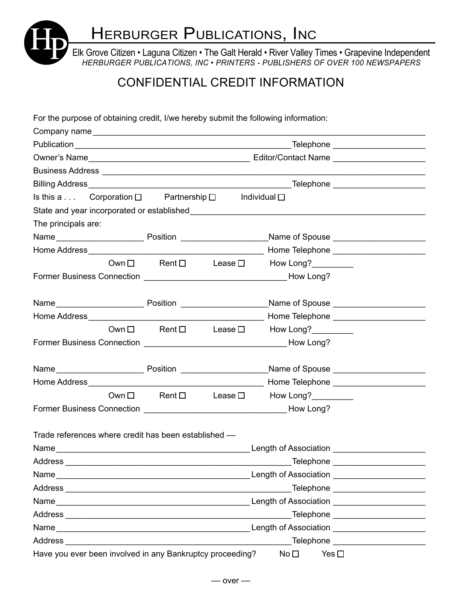Elk Grove Citizen • Laguna Citizen • The Galt Herald • River Valley Times • Grapevine Independent **herburger Publications, Inc**<br>Elk Grove Citizen • Laguna Citizen • The Galt Herald • River Valley Times • Grapevine Independent<br>HERBURGER PUBLICATIONS, INC • PRINTERS - PUBLISHERS OF OVER 100 NEWSPAPERS

## CONFIDENTIAL CREDIT INFORMATION

For the purpose of obtaining credit, I/we hereby submit the following information:

| Company name                                                                                                      |                                            |  |                                                                                                                                                                                                                                |  |  |
|-------------------------------------------------------------------------------------------------------------------|--------------------------------------------|--|--------------------------------------------------------------------------------------------------------------------------------------------------------------------------------------------------------------------------------|--|--|
|                                                                                                                   |                                            |  |                                                                                                                                                                                                                                |  |  |
|                                                                                                                   |                                            |  |                                                                                                                                                                                                                                |  |  |
|                                                                                                                   |                                            |  |                                                                                                                                                                                                                                |  |  |
|                                                                                                                   |                                            |  |                                                                                                                                                                                                                                |  |  |
| Is this a Corporation $\square$ Partnership $\square$                                                             |                                            |  | Individual $\square$                                                                                                                                                                                                           |  |  |
|                                                                                                                   |                                            |  | State and year incorporated or established example and state and state and state and state and state and state and                                                                                                             |  |  |
| The principals are:                                                                                               |                                            |  |                                                                                                                                                                                                                                |  |  |
|                                                                                                                   |                                            |  |                                                                                                                                                                                                                                |  |  |
|                                                                                                                   |                                            |  |                                                                                                                                                                                                                                |  |  |
|                                                                                                                   | $Own \Box$ Rent $\Box$ Lease $\Box$        |  | How Long?__________                                                                                                                                                                                                            |  |  |
|                                                                                                                   |                                            |  |                                                                                                                                                                                                                                |  |  |
|                                                                                                                   |                                            |  |                                                                                                                                                                                                                                |  |  |
|                                                                                                                   |                                            |  |                                                                                                                                                                                                                                |  |  |
|                                                                                                                   | $Own \Box$ Rent $\Box$ Lease $\Box$        |  |                                                                                                                                                                                                                                |  |  |
|                                                                                                                   |                                            |  | How Long?__________                                                                                                                                                                                                            |  |  |
|                                                                                                                   |                                            |  |                                                                                                                                                                                                                                |  |  |
|                                                                                                                   |                                            |  |                                                                                                                                                                                                                                |  |  |
|                                                                                                                   |                                            |  |                                                                                                                                                                                                                                |  |  |
|                                                                                                                   |                                            |  | Own □ Rent □ Lease □ How Long?________                                                                                                                                                                                         |  |  |
|                                                                                                                   |                                            |  |                                                                                                                                                                                                                                |  |  |
|                                                                                                                   |                                            |  |                                                                                                                                                                                                                                |  |  |
| Trade references where credit has been established -                                                              |                                            |  |                                                                                                                                                                                                                                |  |  |
|                                                                                                                   |                                            |  |                                                                                                                                                                                                                                |  |  |
|                                                                                                                   |                                            |  |                                                                                                                                                                                                                                |  |  |
|                                                                                                                   |                                            |  |                                                                                                                                                                                                                                |  |  |
|                                                                                                                   | Telephone _________________________        |  |                                                                                                                                                                                                                                |  |  |
|                                                                                                                   |                                            |  |                                                                                                                                                                                                                                |  |  |
|                                                                                                                   | Telephone _________________________        |  |                                                                                                                                                                                                                                |  |  |
| Name                                                                                                              | Length of Association <b>Exercise 2018</b> |  |                                                                                                                                                                                                                                |  |  |
| Address Address Address Address Address Address Address Address Address Address Address Address Address Address A |                                            |  | Telephone and the control of the control of the control of the control of the control of the control of the control of the control of the control of the control of the control of the control of the control of the control o |  |  |
| Have you ever been involved in any Bankruptcy proceeding?                                                         |                                            |  | No <sub>1</sub><br>Yes $\square$                                                                                                                                                                                               |  |  |